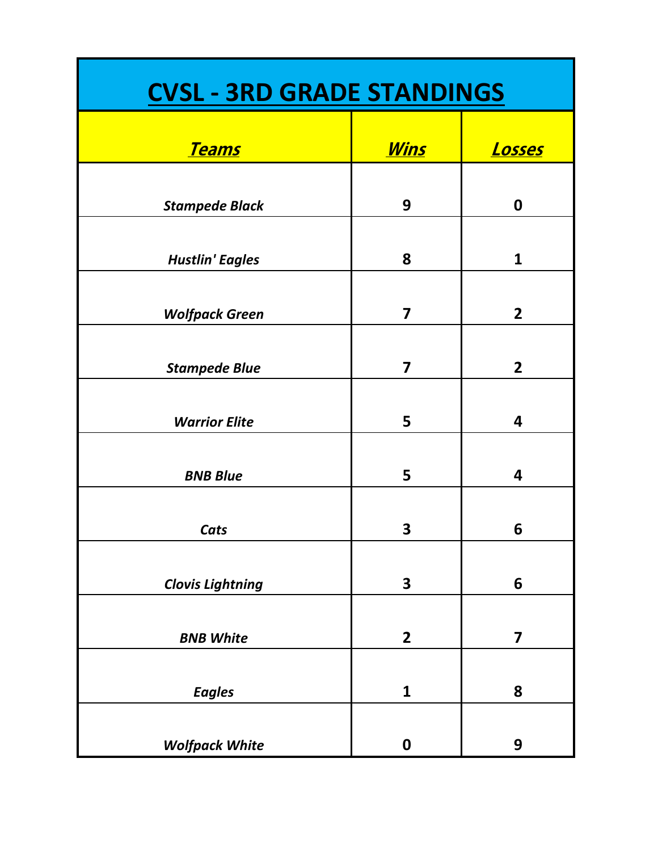| <b>CVSL - 3RD GRADE STANDINGS</b> |                         |                  |
|-----------------------------------|-------------------------|------------------|
| <u>Teams</u>                      | <u>Wins</u>             | <u>Losses</u>    |
| <b>Stampede Black</b>             | 9                       | $\boldsymbol{0}$ |
| <b>Hustlin' Eagles</b>            | 8                       | $\mathbf{1}$     |
| <b>Wolfpack Green</b>             | 7                       | $\overline{2}$   |
| <b>Stampede Blue</b>              | $\overline{\mathbf{z}}$ | $\overline{2}$   |
| <b>Warrior Elite</b>              | 5                       | 4                |
| <b>BNB Blue</b>                   | 5                       | 4                |
| Cats                              | 3                       | 6                |
| <b>Clovis Lightning</b>           | 3                       | 6                |
| <b>BNB White</b>                  | $\mathbf{2}$            | 7                |
| <b>Eagles</b>                     | $\mathbf{1}$            | 8                |
| <b>Wolfpack White</b>             | $\boldsymbol{0}$        | 9                |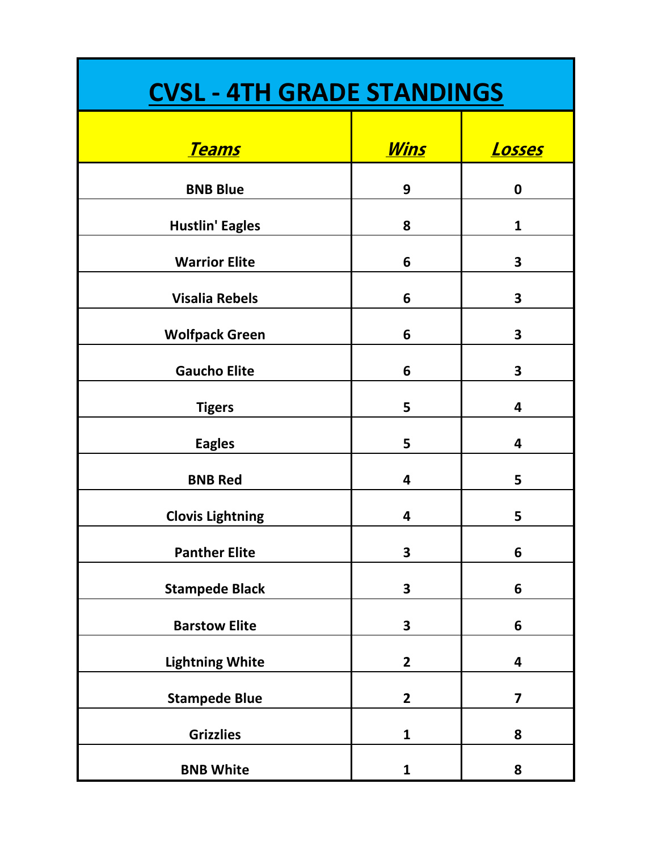| <b>CVSL - 4TH GRADE STANDINGS</b> |                         |                         |
|-----------------------------------|-------------------------|-------------------------|
| <u>Teams</u>                      | <u>Wins</u>             | <u>Losses</u>           |
| <b>BNB Blue</b>                   | 9                       | $\boldsymbol{0}$        |
| <b>Hustlin' Eagles</b>            | 8                       | 1                       |
| <b>Warrior Elite</b>              | 6                       | 3                       |
| <b>Visalia Rebels</b>             | 6                       | 3                       |
| <b>Wolfpack Green</b>             | 6                       | 3                       |
| <b>Gaucho Elite</b>               | 6                       | 3                       |
| <b>Tigers</b>                     | 5                       | 4                       |
| <b>Eagles</b>                     | 5                       | 4                       |
| <b>BNB Red</b>                    | $\overline{\mathbf{4}}$ | 5                       |
| <b>Clovis Lightning</b>           | 4                       | 5                       |
| <b>Panther Elite</b>              | 3                       | 6                       |
| <b>Stampede Black</b>             | 3                       | 6                       |
| <b>Barstow Elite</b>              | 3                       | 6                       |
| <b>Lightning White</b>            | $\mathbf{2}$            | 4                       |
| <b>Stampede Blue</b>              | $\mathbf{2}$            | $\overline{\mathbf{z}}$ |
| <b>Grizzlies</b>                  | $\mathbf{1}$            | 8                       |
| <b>BNB White</b>                  | 1                       | 8                       |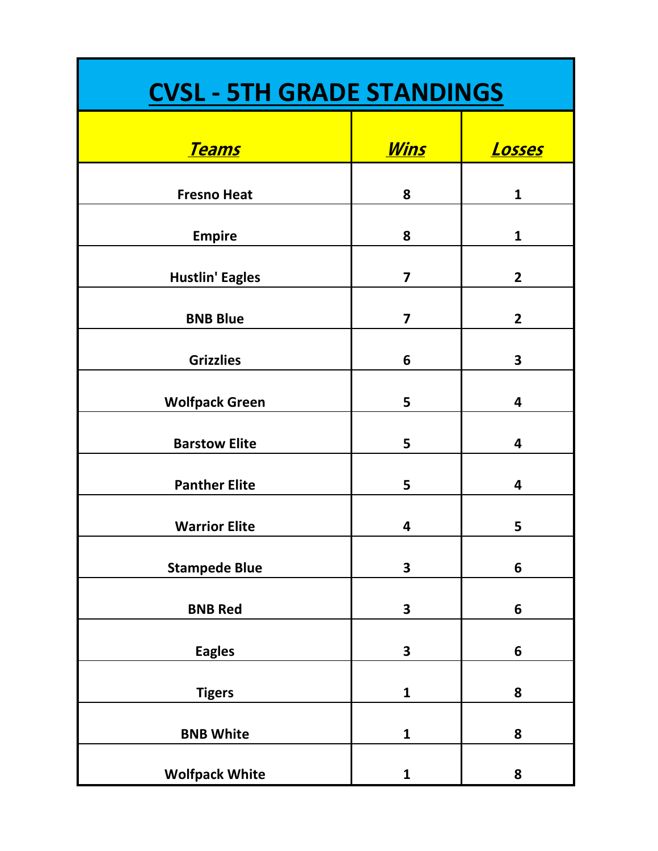| <b>CVSL - 5TH GRADE STANDINGS</b> |                         |                |
|-----------------------------------|-------------------------|----------------|
| <u>Teams</u>                      | <u>Wins</u>             | <u>Losses</u>  |
| <b>Fresno Heat</b>                | 8                       | $\mathbf{1}$   |
| <b>Empire</b>                     | 8                       | $\mathbf{1}$   |
| <b>Hustlin' Eagles</b>            | $\overline{\mathbf{z}}$ | $\overline{2}$ |
| <b>BNB Blue</b>                   | $\overline{\mathbf{z}}$ | $\overline{2}$ |
| <b>Grizzlies</b>                  | 6                       | 3              |
| <b>Wolfpack Green</b>             | 5                       | 4              |
| <b>Barstow Elite</b>              | 5                       | 4              |
| <b>Panther Elite</b>              | 5                       | 4              |
| <b>Warrior Elite</b>              | 4                       | 5              |
| <b>Stampede Blue</b>              | $\overline{\mathbf{3}}$ | 6              |
| <b>BNB Red</b>                    | 3                       | 6              |
| <b>Eagles</b>                     | 3                       | 6              |
| <b>Tigers</b>                     | 1                       | 8              |
| <b>BNB White</b>                  | 1                       | 8              |
| <b>Wolfpack White</b>             | 1                       | 8              |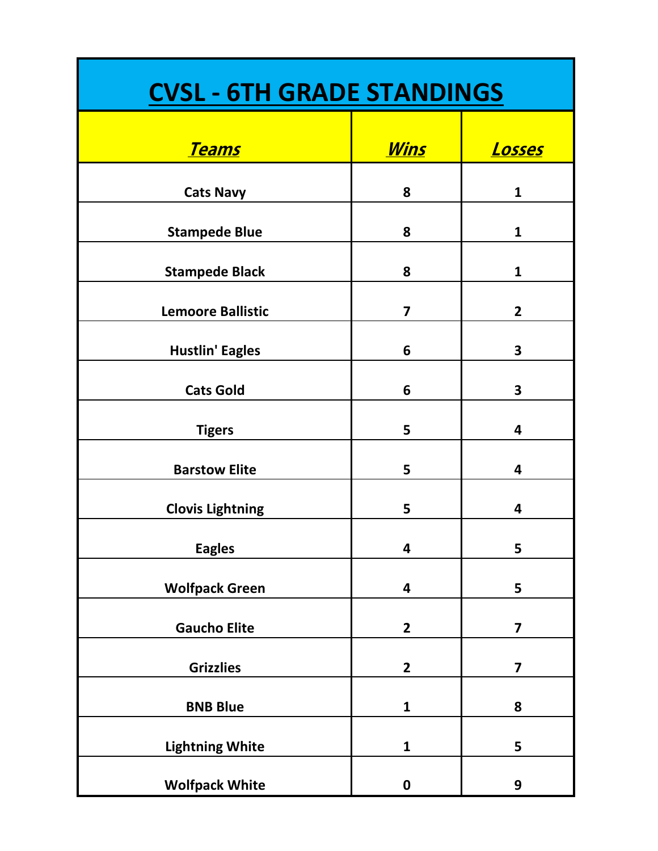| <b>CVSL - 6TH GRADE STANDINGS</b> |                         |                         |
|-----------------------------------|-------------------------|-------------------------|
| <u>Teams</u>                      | <u>Wins</u>             | <u> Losses</u>          |
| <b>Cats Navy</b>                  | 8                       | $\mathbf{1}$            |
| <b>Stampede Blue</b>              | 8                       | $\mathbf{1}$            |
| <b>Stampede Black</b>             | 8                       | $\mathbf{1}$            |
| <b>Lemoore Ballistic</b>          | $\overline{\mathbf{z}}$ | $\overline{2}$          |
| <b>Hustlin' Eagles</b>            | 6                       | 3                       |
| <b>Cats Gold</b>                  | 6                       | 3                       |
| <b>Tigers</b>                     | 5                       | 4                       |
| <b>Barstow Elite</b>              | 5                       | 4                       |
| <b>Clovis Lightning</b>           | 5                       | 4                       |
| <b>Eagles</b>                     | 4                       | 5                       |
| <b>Wolfpack Green</b>             | 4                       | 5                       |
| <b>Gaucho Elite</b>               | $\mathbf{2}$            | 7                       |
| <b>Grizzlies</b>                  | $\mathbf{2}$            | $\overline{\mathbf{z}}$ |
| <b>BNB Blue</b>                   | $\mathbf{1}$            | 8                       |
| <b>Lightning White</b>            | $\mathbf{1}$            | 5                       |
| <b>Wolfpack White</b>             | $\boldsymbol{0}$        | 9                       |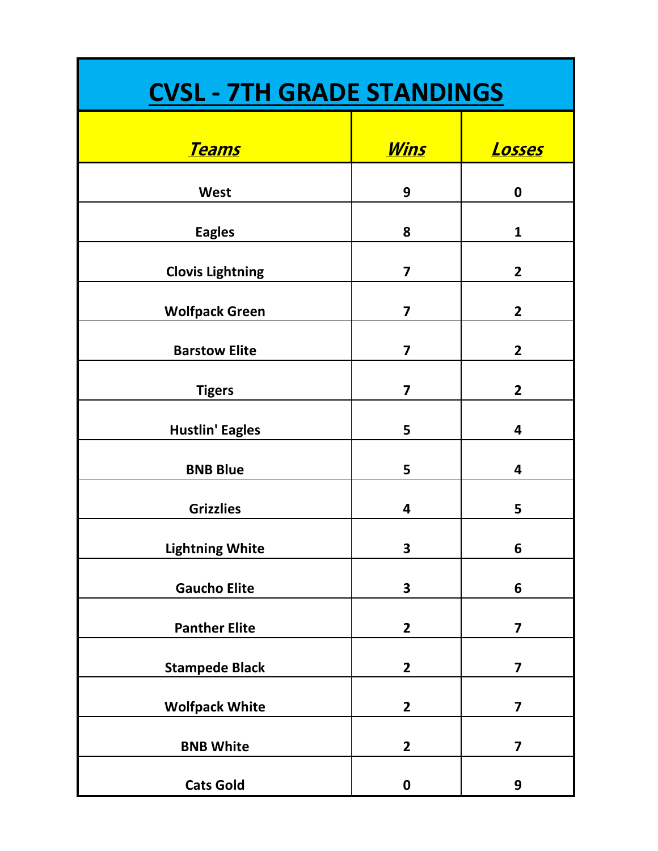| <b>CVSL - 7TH GRADE STANDINGS</b> |                         |                         |
|-----------------------------------|-------------------------|-------------------------|
| <u>Teams</u>                      | <u>Wins</u>             | <u> Losses</u>          |
| West                              | 9                       | $\bf{0}$                |
| <b>Eagles</b>                     | 8                       | 1                       |
| <b>Clovis Lightning</b>           | $\overline{\mathbf{z}}$ | $\mathbf{2}$            |
| <b>Wolfpack Green</b>             | $\overline{\mathbf{z}}$ | $\overline{2}$          |
| <b>Barstow Elite</b>              | $\overline{\mathbf{z}}$ | $\overline{2}$          |
| <b>Tigers</b>                     | $\overline{\mathbf{z}}$ | $\overline{2}$          |
| <b>Hustlin' Eagles</b>            | 5                       | 4                       |
| <b>BNB Blue</b>                   | 5                       | 4                       |
| <b>Grizzlies</b>                  | 4                       | 5                       |
| <b>Lightning White</b>            | 3                       | 6                       |
| <b>Gaucho Elite</b>               | $\overline{\mathbf{3}}$ | 6                       |
| <b>Panther Elite</b>              | $\mathbf{2}$            | $\overline{\mathbf{z}}$ |
| <b>Stampede Black</b>             | $\mathbf{2}$            | $\overline{\mathbf{z}}$ |
| <b>Wolfpack White</b>             | $\mathbf{2}$            | $\overline{\mathbf{z}}$ |
| <b>BNB White</b>                  | $\overline{2}$          | $\overline{\mathbf{z}}$ |
| <b>Cats Gold</b>                  | $\boldsymbol{0}$        | 9                       |